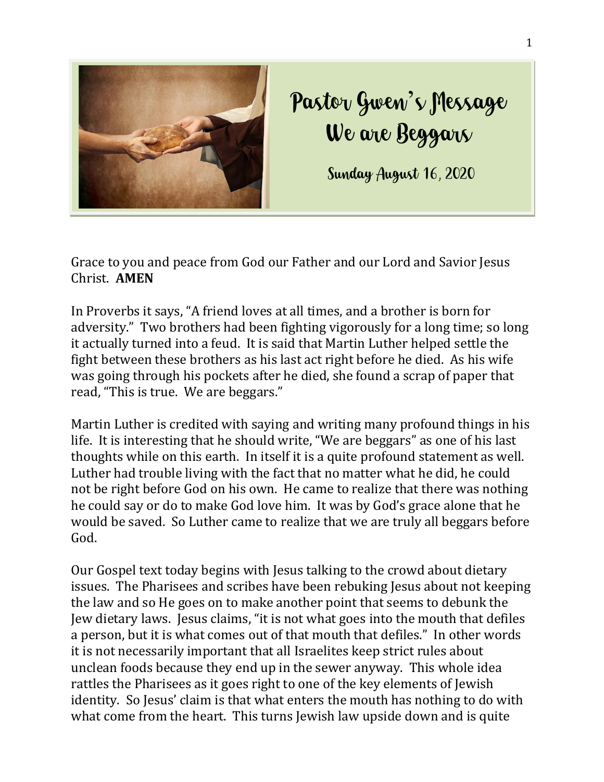

## Pastor Gwen's Message We are Beggars

Sunday August 16, 2020

Grace to you and peace from God our Father and our Lord and Savior Jesus Christ. **AMEN**

In Proverbs it says, "A friend loves at all times, and a brother is born for adversity." Two brothers had been fighting vigorously for a long time; so long it actually turned into a feud. It is said that Martin Luther helped settle the fight between these brothers as his last act right before he died. As his wife was going through his pockets after he died, she found a scrap of paper that read, "This is true. We are beggars."

Martin Luther is credited with saying and writing many profound things in his life. It is interesting that he should write, "We are beggars" as one of his last thoughts while on this earth. In itself it is a quite profound statement as well. Luther had trouble living with the fact that no matter what he did, he could not be right before God on his own. He came to realize that there was nothing he could say or do to make God love him. It was by God's grace alone that he would be saved. So Luther came to realize that we are truly all beggars before God.

Our Gospel text today begins with Jesus talking to the crowd about dietary issues. The Pharisees and scribes have been rebuking Jesus about not keeping the law and so He goes on to make another point that seems to debunk the Jew dietary laws. Jesus claims, "it is not what goes into the mouth that defiles a person, but it is what comes out of that mouth that defiles." In other words it is not necessarily important that all Israelites keep strict rules about unclean foods because they end up in the sewer anyway. This whole idea rattles the Pharisees as it goes right to one of the key elements of Jewish identity. So Jesus' claim is that what enters the mouth has nothing to do with what come from the heart. This turns Jewish law upside down and is quite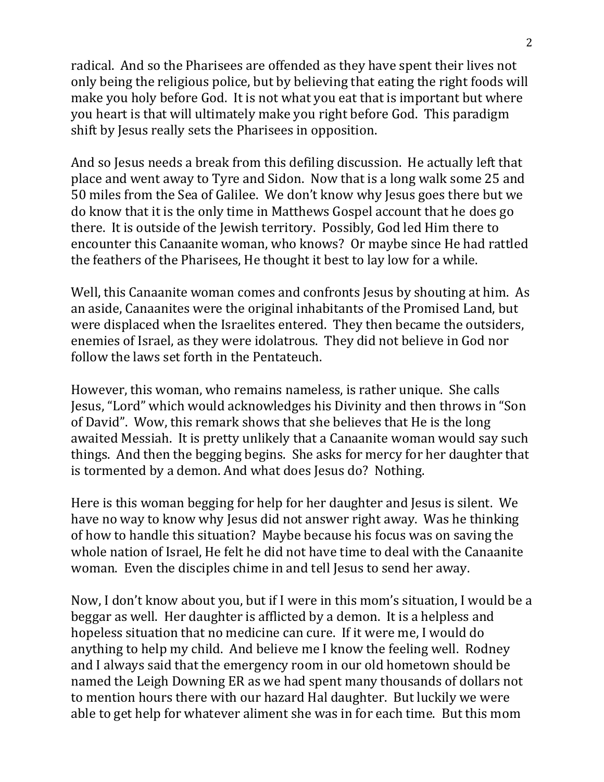radical. And so the Pharisees are offended as they have spent their lives not only being the religious police, but by believing that eating the right foods will make you holy before God. It is not what you eat that is important but where you heart is that will ultimately make you right before God. This paradigm shift by Jesus really sets the Pharisees in opposition.

And so Jesus needs a break from this defiling discussion. He actually left that place and went away to Tyre and Sidon. Now that is a long walk some 25 and 50 miles from the Sea of Galilee. We don't know why Jesus goes there but we do know that it is the only time in Matthews Gospel account that he does go there. It is outside of the Jewish territory. Possibly, God led Him there to encounter this Canaanite woman, who knows? Or maybe since He had rattled the feathers of the Pharisees, He thought it best to lay low for a while.

Well, this Canaanite woman comes and confronts Jesus by shouting at him. As an aside, Canaanites were the original inhabitants of the Promised Land, but were displaced when the Israelites entered. They then became the outsiders, enemies of Israel, as they were idolatrous. They did not believe in God nor follow the laws set forth in the Pentateuch.

However, this woman, who remains nameless, is rather unique. She calls Jesus, "Lord" which would acknowledges his Divinity and then throws in "Son of David". Wow, this remark shows that she believes that He is the long awaited Messiah. It is pretty unlikely that a Canaanite woman would say such things. And then the begging begins. She asks for mercy for her daughter that is tormented by a demon. And what does Jesus do? Nothing.

Here is this woman begging for help for her daughter and Jesus is silent. We have no way to know why Jesus did not answer right away. Was he thinking of how to handle this situation? Maybe because his focus was on saving the whole nation of Israel, He felt he did not have time to deal with the Canaanite woman. Even the disciples chime in and tell Jesus to send her away.

Now, I don't know about you, but if I were in this mom's situation, I would be a beggar as well. Her daughter is afflicted by a demon. It is a helpless and hopeless situation that no medicine can cure. If it were me, I would do anything to help my child. And believe me I know the feeling well. Rodney and I always said that the emergency room in our old hometown should be named the Leigh Downing ER as we had spent many thousands of dollars not to mention hours there with our hazard Hal daughter. But luckily we were able to get help for whatever aliment she was in for each time. But this mom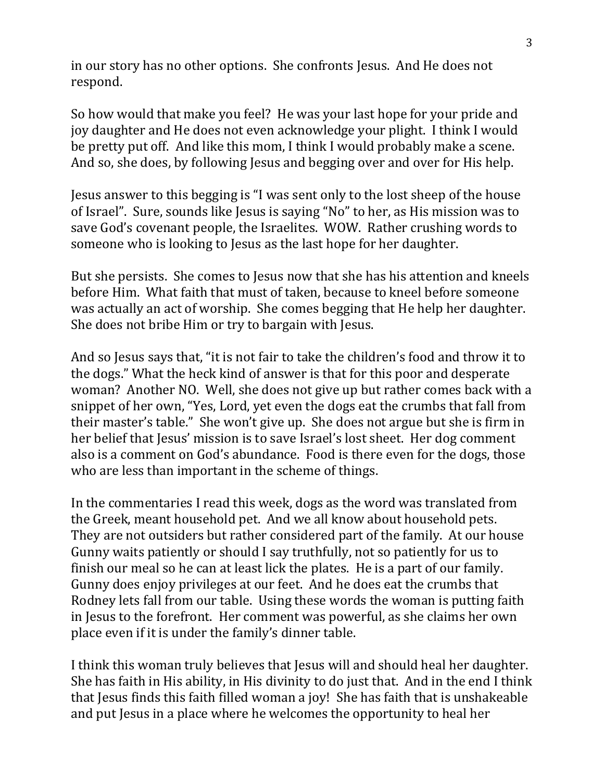in our story has no other options. She confronts Jesus. And He does not respond.

So how would that make you feel? He was your last hope for your pride and joy daughter and He does not even acknowledge your plight. I think I would be pretty put off. And like this mom, I think I would probably make a scene. And so, she does, by following Jesus and begging over and over for His help.

Jesus answer to this begging is "I was sent only to the lost sheep of the house of Israel". Sure, sounds like Jesus is saying "No" to her, as His mission was to save God's covenant people, the Israelites. WOW. Rather crushing words to someone who is looking to Jesus as the last hope for her daughter.

But she persists. She comes to Jesus now that she has his attention and kneels before Him. What faith that must of taken, because to kneel before someone was actually an act of worship. She comes begging that He help her daughter. She does not bribe Him or try to bargain with Jesus.

And so Jesus says that, "it is not fair to take the children's food and throw it to the dogs." What the heck kind of answer is that for this poor and desperate woman? Another NO. Well, she does not give up but rather comes back with a snippet of her own, "Yes, Lord, yet even the dogs eat the crumbs that fall from their master's table." She won't give up. She does not argue but she is firm in her belief that Jesus' mission is to save Israel's lost sheet. Her dog comment also is a comment on God's abundance. Food is there even for the dogs, those who are less than important in the scheme of things.

In the commentaries I read this week, dogs as the word was translated from the Greek, meant household pet. And we all know about household pets. They are not outsiders but rather considered part of the family. At our house Gunny waits patiently or should I say truthfully, not so patiently for us to finish our meal so he can at least lick the plates. He is a part of our family. Gunny does enjoy privileges at our feet. And he does eat the crumbs that Rodney lets fall from our table. Using these words the woman is putting faith in Jesus to the forefront. Her comment was powerful, as she claims her own place even if it is under the family's dinner table.

I think this woman truly believes that Jesus will and should heal her daughter. She has faith in His ability, in His divinity to do just that. And in the end I think that Jesus finds this faith filled woman a joy! She has faith that is unshakeable and put Jesus in a place where he welcomes the opportunity to heal her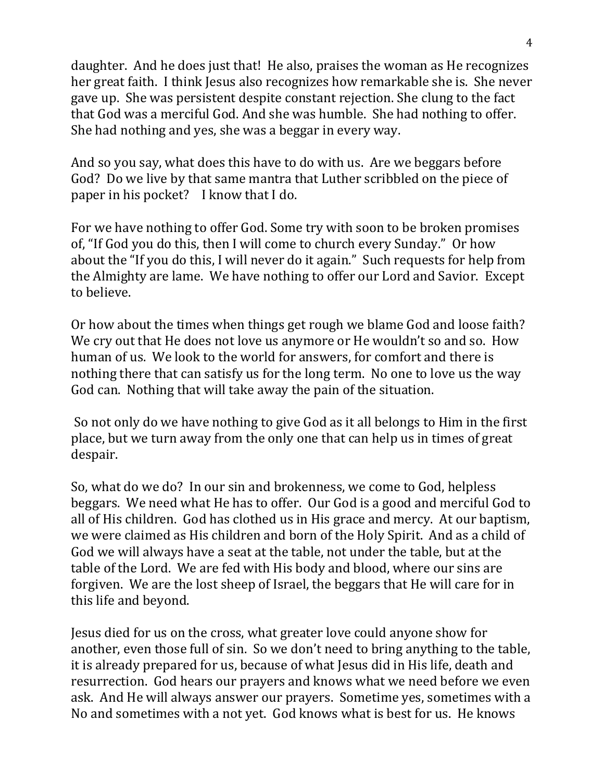daughter. And he does just that! He also, praises the woman as He recognizes her great faith. I think Jesus also recognizes how remarkable she is. She never gave up. She was persistent despite constant rejection. She clung to the fact that God was a merciful God. And she was humble. She had nothing to offer. She had nothing and yes, she was a beggar in every way.

And so you say, what does this have to do with us. Are we beggars before God? Do we live by that same mantra that Luther scribbled on the piece of paper in his pocket? I know that I do.

For we have nothing to offer God. Some try with soon to be broken promises of, "If God you do this, then I will come to church every Sunday." Or how about the "If you do this, I will never do it again." Such requests for help from the Almighty are lame. We have nothing to offer our Lord and Savior. Except to believe.

Or how about the times when things get rough we blame God and loose faith? We cry out that He does not love us anymore or He wouldn't so and so. How human of us. We look to the world for answers, for comfort and there is nothing there that can satisfy us for the long term. No one to love us the way God can. Nothing that will take away the pain of the situation.

So not only do we have nothing to give God as it all belongs to Him in the first place, but we turn away from the only one that can help us in times of great despair.

So, what do we do? In our sin and brokenness, we come to God, helpless beggars. We need what He has to offer. Our God is a good and merciful God to all of His children. God has clothed us in His grace and mercy. At our baptism, we were claimed as His children and born of the Holy Spirit. And as a child of God we will always have a seat at the table, not under the table, but at the table of the Lord. We are fed with His body and blood, where our sins are forgiven. We are the lost sheep of Israel, the beggars that He will care for in this life and beyond.

Jesus died for us on the cross, what greater love could anyone show for another, even those full of sin. So we don't need to bring anything to the table, it is already prepared for us, because of what Jesus did in His life, death and resurrection. God hears our prayers and knows what we need before we even ask. And He will always answer our prayers. Sometime yes, sometimes with a No and sometimes with a not yet. God knows what is best for us. He knows